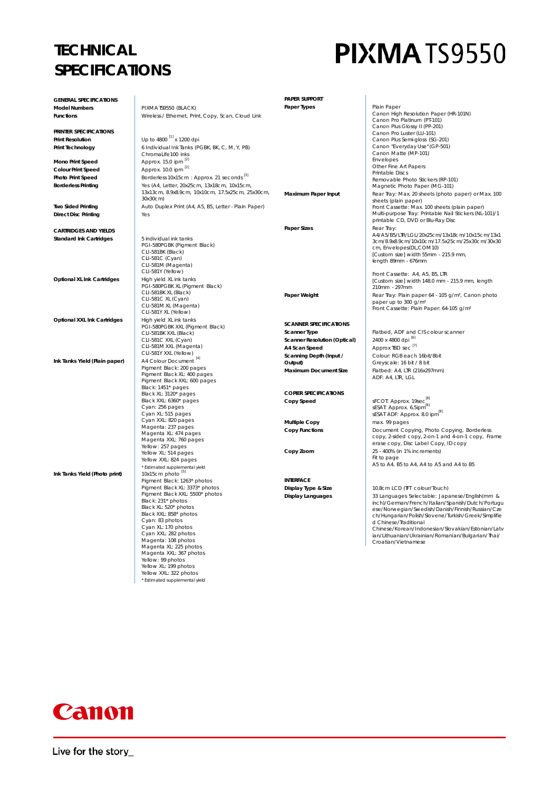#### **TECHNICAL SPECIFICATIONS**

## **PIXMATS9550**

| <b>GENERAL SPECIFICATIONS</b>                         |                                                                   | <b>PAPER SUPPORT</b>                                 |                                                                                                        |
|-------------------------------------------------------|-------------------------------------------------------------------|------------------------------------------------------|--------------------------------------------------------------------------------------------------------|
| <b>Model Numbers</b>                                  | PIXMATS9550 (BLACK)                                               | Paper Types                                          | Plain Paper                                                                                            |
| <b>Functions</b>                                      | Wireless / Ethernet, Print, Copy, Scan, Cloud Link                |                                                      | Canon High Resolution Paper (HR-101N)                                                                  |
|                                                       |                                                                   |                                                      | Canon Pro Platinum (PT-101)<br>Canon Plus Glossy II (PP-201)                                           |
| PRINTER SPECIFICATIONS                                |                                                                   |                                                      | Canon Pro Luster (LU-101)                                                                              |
| <b>Print Resolution</b>                               | Up to 4800 [1] x 1200 dpi                                         |                                                      | Canon Plus Semi-gloss (SG-201)                                                                         |
| Print Technology                                      | 6 Individual Ink Tanks (PGBK, BK, C, M, Y, PB)                    |                                                      | Canon "Everyday Use" (GP-501)<br>Canon Matte (MP-101)                                                  |
|                                                       | ChromaLife100 inks<br>Approx. 15.0 ipm [2]                        |                                                      | <b>Envelopes</b>                                                                                       |
| <b>Mono Print Speed</b>                               | Approx. 10.0 ipm [2]                                              |                                                      | Other Fine Art Papers                                                                                  |
| <b>Colour Print Speed</b><br><b>Photo Print Speed</b> | Borderless 10x15cm: Approx. 21 seconds <sup>[3]</sup>             |                                                      | Printable Discs                                                                                        |
| <b>Borderless Printing</b>                            | Yes (A4, Letter, 20x25cm, 13x18cm, 10x15cm,                       |                                                      | Removable Photo Stickers (RP-101)<br>Magnetic Photo Paper (MG-101)                                     |
|                                                       | 13x13cm, 8.9x8.9cm, 10x10cm, 17.5x25cm, 25x30cm,                  | Maximum Paper Input                                  | Rear Tray: Max. 20 sheets (photo paper) or Max. 100                                                    |
|                                                       | 30x30cm)                                                          |                                                      | sheets (plain paper)                                                                                   |
| <b>Two Sided Printing</b>                             | Auto Duplex Print (A4, A5, B5, Letter - Plain Paper)              |                                                      | Front Cassette: Max. 100 sheets (plain paper)                                                          |
| <b>Direct Disc Printing</b>                           | Yes                                                               |                                                      | Multi-purpose Tray: Printable Nail Stickers (NL-101)/1<br>printable CD, DVD or Blu-Ray Disc            |
|                                                       |                                                                   | <b>Paper Sizes</b>                                   | Rear Tray:                                                                                             |
| <b>CARTRIDGES AND YIELDS</b>                          |                                                                   |                                                      | A4/A5/B5/LTR/LGL/20x25cm/13x18cm/10x15cm/13x1                                                          |
| <b>Standard Ink Cartridges</b>                        | 5 individual ink tanks<br>PGI-580PGBK (Pigment Black)             |                                                      | 3cm/8.9x8.9cm/10x10cm/17.5x25cm/25x30cm/30x30                                                          |
|                                                       | CLI-581BK (Black)                                                 |                                                      | cm, Envelopes(DL,COM10)                                                                                |
|                                                       | CLI-581C (Cyan)                                                   |                                                      | [Custom size] width 55mm - 215.9 mm,<br>length 89mm - 676mm                                            |
|                                                       | CLI-581M (Magenta)                                                |                                                      |                                                                                                        |
| Optional XL Ink Cartridges                            | CLI-581Y (Yellow)<br>High yield XL ink tanks                      |                                                      | Front Cassette: A4, A5, B5, LTR                                                                        |
|                                                       | PGI-580PGBK XL (Pigment Black)                                    |                                                      | [Custom size] width 148.0 mm - 215.9 mm, length<br>210mm - 297mm                                       |
|                                                       | CLI-581BK XL (Black)                                              | Paper Weight                                         | Rear Tray: Plain paper 64 - 105 g/m <sup>2</sup> , Canon photo                                         |
|                                                       | CLI-581C XL (Cyan)                                                |                                                      | paper up to 300 g/m <sup>2</sup>                                                                       |
|                                                       | CLI-581M XL (Magenta)<br>CLI-581Y XL (Yellow)                     |                                                      | Front Cassette: Plain Paper: 64-105 g/m <sup>2</sup>                                                   |
| Optional XXL Ink Cartridges                           | High yield XL ink tanks                                           |                                                      |                                                                                                        |
|                                                       | PGI-580PGBK XXL (Pigment Black)                                   | <b>SCANNER SPECIFICATIONS</b>                        |                                                                                                        |
|                                                       | CLI-581BK XXL (Black)                                             | Scanner Type                                         | Flatbed, ADF and CIS colour scanner<br>2400 x 4800 dpi [6]                                             |
|                                                       | CLI-581C XXL (Cyan)<br>CLI-581M XXL (Magenta)                     | <b>Scanner Resolution (Optical)</b><br>A4 Scan Speed | Approx TBD sec <sup>[7]</sup>                                                                          |
|                                                       | CLI-581Y XXL (Yellow)                                             | Scanning Depth (Input /                              | Colour: RGB each 16bit/8bit                                                                            |
| Ink Tanks Yield (Plain paper)                         | A4 Colour Document <sup>[4]</sup>                                 | Output)                                              | Greyscale: 16 bit / 8 bit                                                                              |
|                                                       | Pigment Black: 200 pages                                          | <b>Maximum Document Size</b>                         | Flatbed: A4, LTR (216x297mm)                                                                           |
|                                                       | Pigment Black XL: 400 pages<br>Pigment Black XXL: 600 pages       |                                                      | ADF: A4, LTR, LGL                                                                                      |
|                                                       | Black: 1451* pages                                                |                                                      |                                                                                                        |
|                                                       | Black XL: 3120* pages                                             | <b>COPIER SPECIFICATIONS</b>                         |                                                                                                        |
|                                                       | Black XXL: 6360* pages<br>Cyan: 256 pages                         | Copy Speed                                           | sFCOT: Approx. 19sec <sup>[8]</sup><br>sESAT: Approx. 6.5ipm <sup>[8]</sup>                            |
|                                                       | Cyan XL: 515 pages                                                |                                                      | sESAT ADF: Approx. 8.0 ipm <sup>[8]</sup>                                                              |
|                                                       | Cyan XXL: 820 pages                                               | <b>Multiple Copy</b>                                 | max. 99 pages                                                                                          |
|                                                       | Magenta: 237 pages<br>Magenta XL: 474 pages                       | <b>Copy Functions</b>                                | Document Copying, Photo Copying, Borderless                                                            |
|                                                       | Magenta XXL: 760 pages                                            |                                                      | copy, 2-sided copy, 2-on-1 and 4-on-1 copy, Frame                                                      |
|                                                       | Yellow: 257 pages                                                 |                                                      | erase copy, Disc Label Copy, ID copy<br>25 - 400% (in 1% increments)                                   |
|                                                       | Yellow XL: 514 pages<br>Yellow XXL: 824 pages                     | Copy Zoom                                            | Fit to page                                                                                            |
|                                                       | * Estimated supplemental yield                                    |                                                      | A5 to A4, B5 to A4, A4 to A5 and A4 to B5                                                              |
| Ink Tanks Yield (Photo print)                         | 10x15cm photo <sup>[5]</sup>                                      |                                                      |                                                                                                        |
|                                                       | Pigment Black: 1263* photos                                       | <b>INTERFACE</b>                                     |                                                                                                        |
|                                                       | Pigment Black XL: 3373* photos<br>Pigment Black XXL: 5500* photos | Display Type & Size                                  | 10.8cm LCD (TFT colour/Touch)                                                                          |
|                                                       | Black: 231* photos                                                | <b>Display Languages</b>                             | 33 Languages Selectable: Japanese/English(mm &                                                         |
|                                                       | Black XL: 520* photos                                             |                                                      | inch)/German/French/Italian/Spanish/Dutch/Portugu<br>ese/Norwegian/Swedish/Danish/Finnish/Russian/Cze  |
|                                                       | Black XXL: 858* photos                                            |                                                      | ch/Hungarian/Polish/Slovene/Turkish/Greek/Simplifie                                                    |
|                                                       | Cyan: 83 photos<br>Cyan XL: 170 photos                            |                                                      | d Chinese/Traditional                                                                                  |
|                                                       | Cyan XXL: 282 photos                                              |                                                      | Chinese/Korean/Indonesian/Slovakian/Estonian/Latv<br>ian/Lithuanian/Ukrainian/Romanian/Bulgarian/Thai/ |
|                                                       | Magenta: 108 photos                                               |                                                      | Croatian/Vietnamese                                                                                    |
|                                                       | Magenta XL: 225 photos<br>Magenta XXL: 367 photos                 |                                                      |                                                                                                        |
|                                                       | Yellow: 99 photos                                                 |                                                      |                                                                                                        |
|                                                       | Yellow XL: 199 photos                                             |                                                      |                                                                                                        |
|                                                       | Yellow XXL: 322 photos                                            |                                                      |                                                                                                        |
|                                                       | * Estimated supplemental yield                                    |                                                      |                                                                                                        |



Live for the story\_